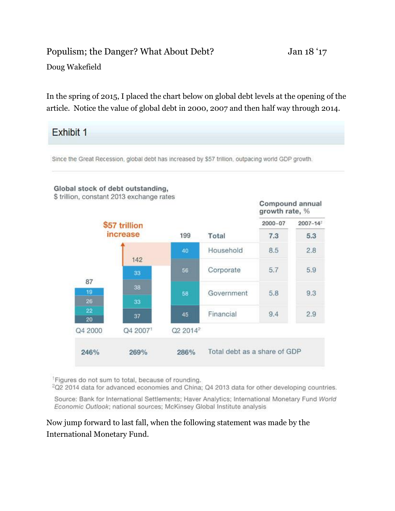## Populism; the Danger? What About Debt? Jan 18 '17

Doug Wakefield

In the spring of 2015, I placed the chart below on global debt levels at the opening of the article. Notice the value of global debt in 2000, 2007 and then half way through 2014.

## **Exhibit 1**

Since the Great Recession, global debt has increased by \$57 trillion, outpacing world GDP growth.



Figures do not sum to total, because of rounding.

<sup>2</sup>Q2 2014 data for advanced economies and China; Q4 2013 data for other developing countries.

Source: Bank for International Settlements; Haver Analytics; International Monetary Fund World Economic Outlook; national sources; McKinsey Global Institute analysis

Now jump forward to last fall, when the following statement was made by the International Monetary Fund.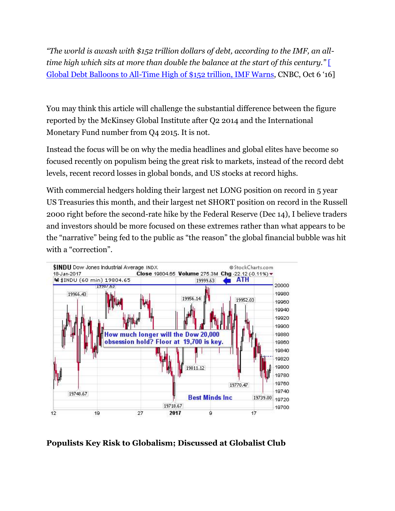*"The world is awash with \$152 trillion dollars of debt, according to the IMF, an alltime high which sits at more than double the balance at the start of this century."* [\[](http://www.cnbc.com/2016/10/06/global-debt-balloons-to-all-time-high-of-152-trillion-imf-warns.html)  [Global Debt Balloons to All-Time High of \\$152 trillion, IMF Warns](http://www.cnbc.com/2016/10/06/global-debt-balloons-to-all-time-high-of-152-trillion-imf-warns.html), CNBC, Oct 6 '16]

You may think this article will challenge the substantial difference between the figure reported by the McKinsey Global Institute after Q2 2014 and the International Monetary Fund number from Q4 2015. It is not.

Instead the focus will be on why the media headlines and global elites have become so focused recently on populism being the great risk to markets, instead of the record debt levels, recent record losses in global bonds, and US stocks at record highs.

With commercial hedgers holding their largest net LONG position on record in 5 year US Treasuries this month, and their largest net SHORT position on record in the Russell 2000 right before the second-rate hike by the Federal Reserve (Dec 14), I believe traders and investors should be more focused on these extremes rather than what appears to be the "narrative" being fed to the public as "the reason" the global financial bubble was hit with a "correction".



**Populists Key Risk to Globalism; Discussed at Globalist Club**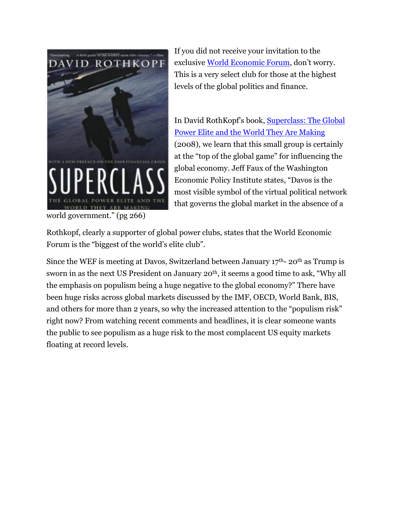

world government." (pg 266)

If you did not receive your invitation to the exclusive [World Economic Forum](https://www.weforum.org/events/world-economic-forum-annual-meeting-2017), don't worry. This is a very select club for those at the highest levels of the global politics and finance.

In David RothKopf's book, [Superclass: The Global](https://www.amazon.com/Superclass-Global-Power-Elite-Making/dp/0374531617/ref=sr_1_1?ie=UTF8&qid=1484769458&sr=8-1&keywords=superclass+the+global+power+elite+and+the+world+they+are+making)  [Power Elite and the World They Are Making](https://www.amazon.com/Superclass-Global-Power-Elite-Making/dp/0374531617/ref=sr_1_1?ie=UTF8&qid=1484769458&sr=8-1&keywords=superclass+the+global+power+elite+and+the+world+they+are+making) (2008), we learn that this small group is certainly at the "top of the global game" for influencing the global economy. Jeff Faux of the Washington Economic Policy Institute states, "Davos is the most visible symbol of the virtual political network that governs the global market in the absence of a

Rothkopf, clearly a supporter of global power clubs, states that the World Economic Forum is the "biggest of the world's elite club".

Since the WEF is meeting at Davos, Switzerland between January  $17<sup>th</sup>$ - 20<sup>th</sup> as Trump is sworn in as the next US President on January 20<sup>th</sup>, it seems a good time to ask, "Why all the emphasis on populism being a huge negative to the global economy?" There have been huge risks across global markets discussed by the IMF, OECD, World Bank, BIS, and others for more than 2 years, so why the increased attention to the "populism risk" right now? From watching recent comments and headlines, it is clear someone wants the public to see populism as a huge risk to the most complacent US equity markets floating at record levels.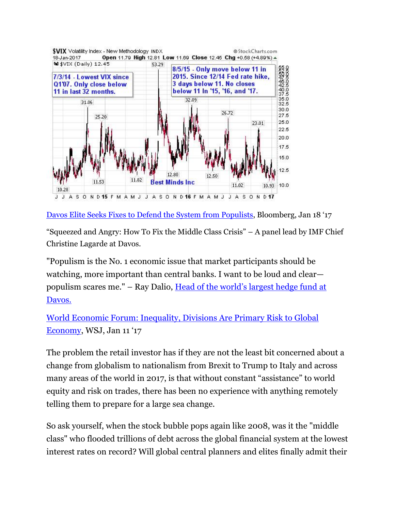

[Davos Elite Seeks Fixes to Defend the System from Populists](https://www.bloomberg.com/politics/articles/2017-01-18/lagarde-urges-wealth-redistribution-as-dalio-warns-on-populists), Bloomberg, Jan 18 '17

"Squeezed and Angry: How To Fix the Middle Class Crisis" – A panel lead by IMF Chief Christine Lagarde at Davos.

"Populism is the No. 1 economic issue that market participants should be watching, more important than central banks. I want to be loud and clear populism scares me." – Ray Dalio, [Head of the world's largest hedge fund at](http://fortune.com/2017/01/18/ray-dalio-davos-populism/)  [Davos.](http://fortune.com/2017/01/18/ray-dalio-davos-populism/)

[World Economic Forum: Inequality, Divisions Are Primary Risk to Global](http://www.wsj.com/articles/populism-inequality-are-primary-risk-to-global-economy-1484143617)  [Economy](http://www.wsj.com/articles/populism-inequality-are-primary-risk-to-global-economy-1484143617), WSJ, Jan 11 '17

The problem the retail investor has if they are not the least bit concerned about a change from globalism to nationalism from Brexit to Trump to Italy and across many areas of the world in 2017, is that without constant "assistance" to world equity and risk on trades, there has been no experience with anything remotely telling them to prepare for a large sea change.

So ask yourself, when the stock bubble pops again like 2008, was it the "middle class" who flooded trillions of debt across the global financial system at the lowest interest rates on record? Will global central planners and elites finally admit their